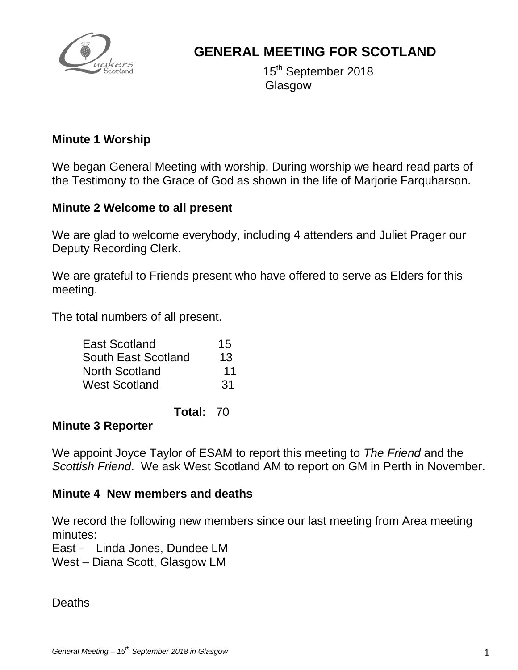

# **GENERAL MEETING FOR SCOTLAND**

 $15$ 15<sup>th</sup> September 2018 Glasgow

### **Minute 1 Worship**

We began General Meeting with worship. During worship we heard read parts of the Testimony to the Grace of God as shown in the life of Marjorie Farquharson.

### **Minute 2 Welcome to all present**

We are glad to welcome everybody, including 4 attenders and Juliet Prager our Deputy Recording Clerk.

We are grateful to Friends present who have offered to serve as Elders for this meeting.

The total numbers of all present.

| 15 |
|----|
| 13 |
| 11 |
| 31 |
|    |

**Total:** 70

#### **Minute 3 Reporter**

We appoint Joyce Taylor of ESAM to report this meeting to *The Friend* and the *Scottish Friend*. We ask West Scotland AM to report on GM in Perth in November.

#### **Minute 4 New members and deaths**

We record the following new members since our last meeting from Area meeting minutes:

East - Linda Jones, Dundee LM

West – Diana Scott, Glasgow LM

Deaths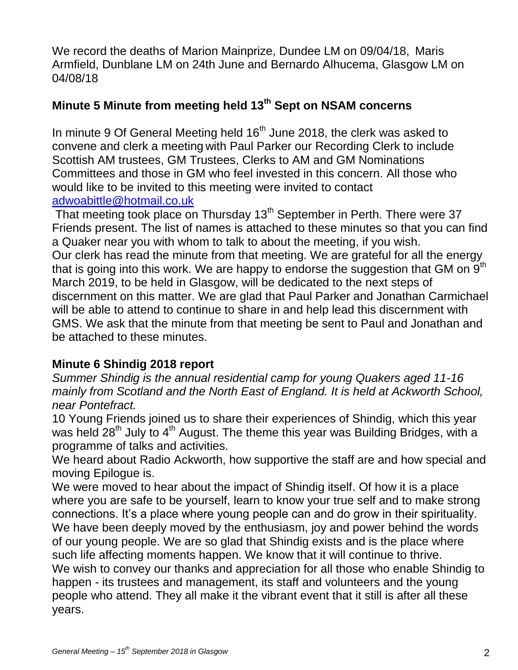We record the deaths of Marion Mainprize, Dundee LM on 09/04/18, Maris Armfield, Dunblane LM on 24th June and Bernardo Alhucema, Glasgow LM on 04/08/18

# **Minute 5 Minute from meeting held 13th Sept on NSAM concerns**

In minute 9 Of General Meeting held  $16<sup>th</sup>$  June 2018, the clerk was asked to convene and clerk a meeting with Paul Parker our Recording Clerk to include Scottish AM trustees, GM Trustees, Clerks to AM and GM Nominations Committees and those in GM who feel invested in this concern. All those who would like to be invited to this meeting were invited to contact [adwoabittle@hotmail.co.uk](mailto:adwoabittle@hotmail.co.uk)

That meeting took place on Thursday  $13<sup>th</sup>$  September in Perth. There were 37 Friends present. The list of names is attached to these minutes so that you can find a Quaker near you with whom to talk to about the meeting, if you wish. Our clerk has read the minute from that meeting. We are grateful for all the energy that is going into this work. We are happy to endorse the suggestion that GM on  $9<sup>th</sup>$ March 2019, to be held in Glasgow, will be dedicated to the next steps of discernment on this matter. We are glad that Paul Parker and Jonathan Carmichael will be able to attend to continue to share in and help lead this discernment with GMS. We ask that the minute from that meeting be sent to Paul and Jonathan and be attached to these minutes.

# **Minute 6 Shindig 2018 report**

*Summer Shindig is the annual residential camp for young Quakers aged 11-16 mainly from Scotland and the North East of England. It is held at Ackworth School, near Pontefract.*

10 Young Friends joined us to share their experiences of Shindig, which this year was held  $28<sup>th</sup>$  July to  $4<sup>th</sup>$  August. The theme this year was Building Bridges, with a programme of talks and activities.

We heard about Radio Ackworth, how supportive the staff are and how special and moving Epilogue is.

We were moved to hear about the impact of Shindig itself. Of how it is a place where you are safe to be yourself, learn to know your true self and to make strong connections. It's a place where young people can and do grow in their spirituality. We have been deeply moved by the enthusiasm, joy and power behind the words of our young people. We are so glad that Shindig exists and is the place where such life affecting moments happen. We know that it will continue to thrive. We wish to convey our thanks and appreciation for all those who enable Shindig to happen - its trustees and management, its staff and volunteers and the young people who attend. They all make it the vibrant event that it still is after all these years.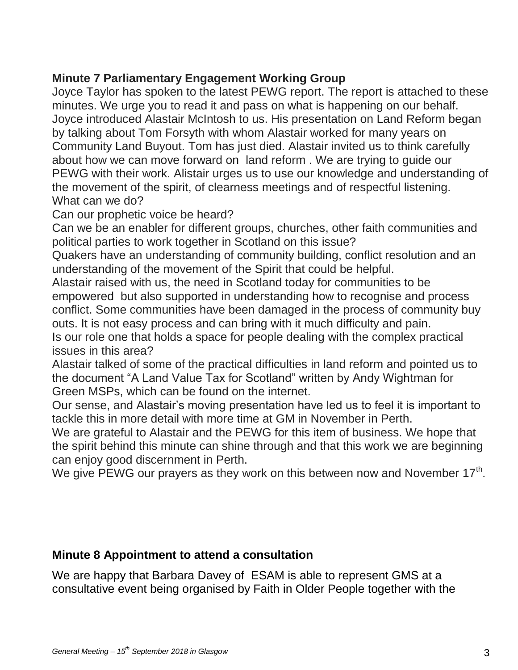### **Minute 7 Parliamentary Engagement Working Group**

Joyce Taylor has spoken to the latest PEWG report. The report is attached to these minutes. We urge you to read it and pass on what is happening on our behalf. Joyce introduced Alastair McIntosh to us. His presentation on Land Reform began by talking about Tom Forsyth with whom Alastair worked for many years on Community Land Buyout. Tom has just died. Alastair invited us to think carefully about how we can move forward on land reform . We are trying to guide our PEWG with their work. Alistair urges us to use our knowledge and understanding of the movement of the spirit, of clearness meetings and of respectful listening. What can we do?

Can our prophetic voice be heard?

Can we be an enabler for different groups, churches, other faith communities and political parties to work together in Scotland on this issue?

Quakers have an understanding of community building, conflict resolution and an understanding of the movement of the Spirit that could be helpful.

Alastair raised with us, the need in Scotland today for communities to be empowered but also supported in understanding how to recognise and process conflict. Some communities have been damaged in the process of community buy outs. It is not easy process and can bring with it much difficulty and pain. Is our role one that holds a space for people dealing with the complex practical

issues in this area?

Alastair talked of some of the practical difficulties in land reform and pointed us to the document "A Land Value Tax for Scotland" written by Andy Wightman for Green MSPs, which can be found on the internet.

Our sense, and Alastair's moving presentation have led us to feel it is important to tackle this in more detail with more time at GM in November in Perth.

We are grateful to Alastair and the PEWG for this item of business. We hope that the spirit behind this minute can shine through and that this work we are beginning can enjoy good discernment in Perth.

We give PEWG our prayers as they work on this between now and November  $17<sup>th</sup>$ .

### **Minute 8 Appointment to attend a consultation**

We are happy that Barbara Davey of ESAM is able to represent GMS at a consultative event being organised by Faith in Older People together with the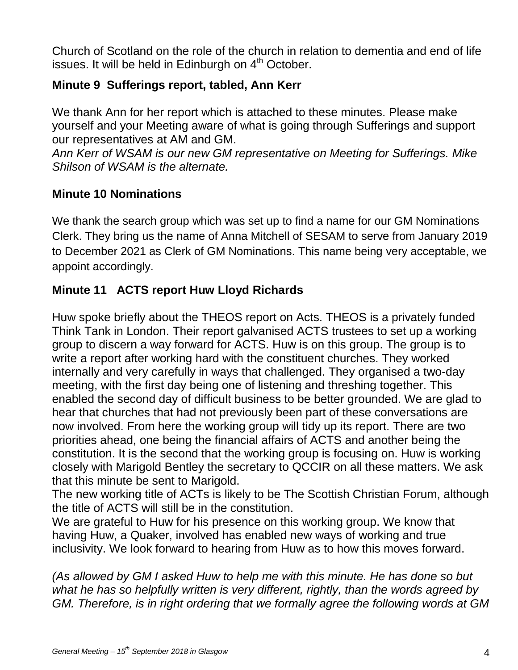Church of Scotland on the role of the church in relation to dementia and end of life issues. It will be held in Edinburgh on  $4<sup>th</sup>$  October.

# **Minute 9 Sufferings report, tabled, Ann Kerr**

We thank Ann for her report which is attached to these minutes. Please make yourself and your Meeting aware of what is going through Sufferings and support our representatives at AM and GM.

*Ann Kerr of WSAM is our new GM representative on Meeting for Sufferings. Mike Shilson of WSAM is the alternate.* 

### **Minute 10 Nominations**

We thank the search group which was set up to find a name for our GM Nominations Clerk. They bring us the name of Anna Mitchell of SESAM to serve from January 2019 to December 2021 as Clerk of GM Nominations. This name being very acceptable, we appoint accordingly.

### **Minute 11 ACTS report Huw Lloyd Richards**

Huw spoke briefly about the THEOS report on Acts. THEOS is a privately funded Think Tank in London. Their report galvanised ACTS trustees to set up a working group to discern a way forward for ACTS. Huw is on this group. The group is to write a report after working hard with the constituent churches. They worked internally and very carefully in ways that challenged. They organised a two-day meeting, with the first day being one of listening and threshing together. This enabled the second day of difficult business to be better grounded. We are glad to hear that churches that had not previously been part of these conversations are now involved. From here the working group will tidy up its report. There are two priorities ahead, one being the financial affairs of ACTS and another being the constitution. It is the second that the working group is focusing on. Huw is working closely with Marigold Bentley the secretary to QCCIR on all these matters. We ask that this minute be sent to Marigold.

The new working title of ACTs is likely to be The Scottish Christian Forum, although the title of ACTS will still be in the constitution.

We are grateful to Huw for his presence on this working group. We know that having Huw, a Quaker, involved has enabled new ways of working and true inclusivity. We look forward to hearing from Huw as to how this moves forward.

*(As allowed by GM I asked Huw to help me with this minute. He has done so but what he has so helpfully written is very different, rightly, than the words agreed by GM. Therefore, is in right ordering that we formally agree the following words at GM*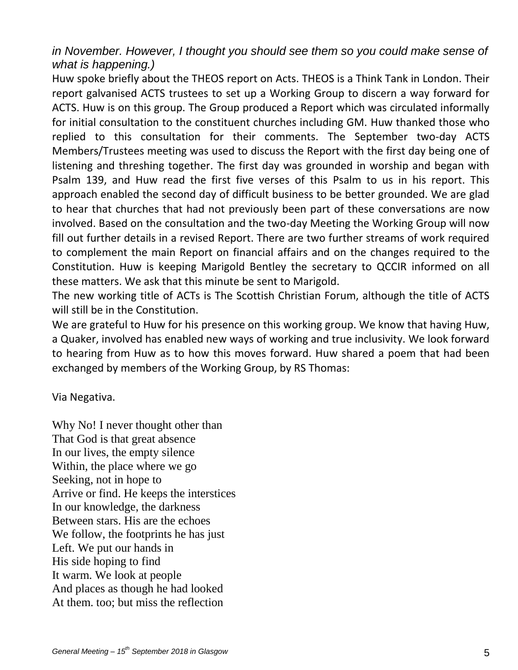*in November. However, I thought you should see them so you could make sense of what is happening.)*

Huw spoke briefly about the THEOS report on Acts. THEOS is a Think Tank in London. Their report galvanised ACTS trustees to set up a Working Group to discern a way forward for ACTS. Huw is on this group. The Group produced a Report which was circulated informally for initial consultation to the constituent churches including GM. Huw thanked those who replied to this consultation for their comments. The September two-day ACTS Members/Trustees meeting was used to discuss the Report with the first day being one of listening and threshing together. The first day was grounded in worship and began with Psalm 139, and Huw read the first five verses of this Psalm to us in his report. This approach enabled the second day of difficult business to be better grounded. We are glad to hear that churches that had not previously been part of these conversations are now involved. Based on the consultation and the two-day Meeting the Working Group will now fill out further details in a revised Report. There are two further streams of work required to complement the main Report on financial affairs and on the changes required to the Constitution. Huw is keeping Marigold Bentley the secretary to QCCIR informed on all these matters. We ask that this minute be sent to Marigold.

The new working title of ACTs is The Scottish Christian Forum, although the title of ACTS will still be in the Constitution.

We are grateful to Huw for his presence on this working group. We know that having Huw, a Quaker, involved has enabled new ways of working and true inclusivity. We look forward to hearing from Huw as to how this moves forward. Huw shared a poem that had been exchanged by members of the Working Group, by RS Thomas:

Via Negativa.

Why No! I never thought other than That God is that great absence In our lives, the empty silence Within, the place where we go Seeking, not in hope to Arrive or find. He keeps the interstices In our knowledge, the darkness Between stars. His are the echoes We follow, the footprints he has just Left. We put our hands in His side hoping to find It warm. We look at people And places as though he had looked At them. too; but miss the reflection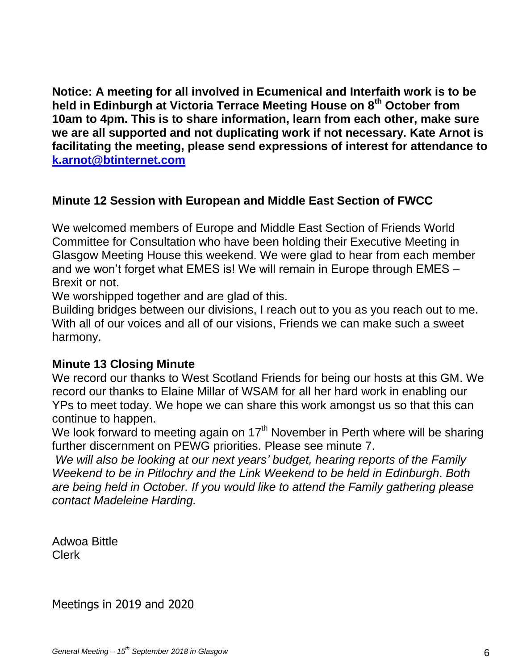**Notice: A meeting for all involved in Ecumenical and Interfaith work is to be held in Edinburgh at Victoria Terrace Meeting House on 8th October from 10am to 4pm. This is to share information, learn from each other, make sure we are all supported and not duplicating work if not necessary. Kate Arnot is facilitating the meeting, please send expressions of interest for attendance to [k.arnot@btinternet.com](mailto:k.arnot@btinternet.com)** 

### **Minute 12 Session with European and Middle East Section of FWCC**

We welcomed members of Europe and Middle East Section of Friends World Committee for Consultation who have been holding their Executive Meeting in Glasgow Meeting House this weekend. We were glad to hear from each member and we won't forget what EMES is! We will remain in Europe through EMES – Brexit or not.

We worshipped together and are glad of this.

Building bridges between our divisions, I reach out to you as you reach out to me. With all of our voices and all of our visions, Friends we can make such a sweet harmony.

### **Minute 13 Closing Minute**

We record our thanks to West Scotland Friends for being our hosts at this GM. We record our thanks to Elaine Millar of WSAM for all her hard work in enabling our YPs to meet today. We hope we can share this work amongst us so that this can continue to happen.

We look forward to meeting again on  $17<sup>th</sup>$  November in Perth where will be sharing further discernment on PEWG priorities. Please see minute 7.

*We will also be looking at our next years' budget, hearing reports of the Family Weekend to be in Pitlochry and the Link Weekend to be held in Edinburgh*. *Both are being held in October. If you would like to attend the Family gathering please contact Madeleine Harding.*

Adwoa Bittle Clerk

Meetings in 2019 and 2020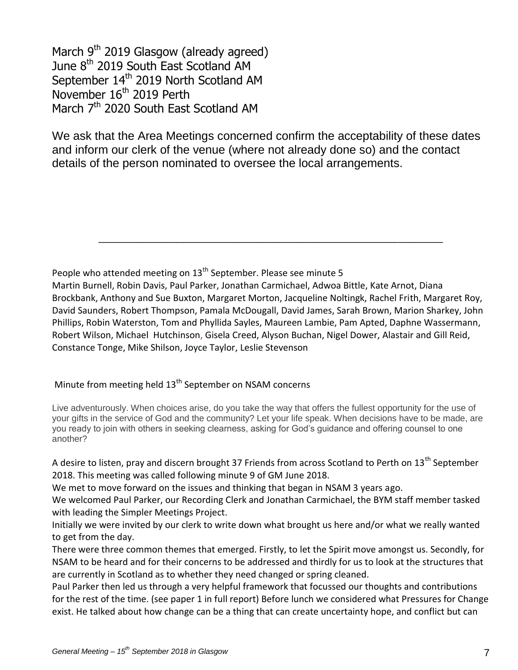March 9<sup>th</sup> 2019 Glasgow (already agreed) June 8<sup>th</sup> 2019 South East Scotland AM September 14<sup>th</sup> 2019 North Scotland AM November 16<sup>th</sup> 2019 Perth March 7<sup>th</sup> 2020 South East Scotland AM

We ask that the Area Meetings concerned confirm the acceptability of these dates and inform our clerk of the venue (where not already done so) and the contact details of the person nominated to oversee the local arrangements.

People who attended meeting on 13<sup>th</sup> September. Please see minute 5

Martin Burnell, Robin Davis, Paul Parker, Jonathan Carmichael, Adwoa Bittle, Kate Arnot, Diana Brockbank, Anthony and Sue Buxton, Margaret Morton, Jacqueline Noltingk, Rachel Frith, Margaret Roy, David Saunders, Robert Thompson, Pamala McDougall, David James, Sarah Brown, Marion Sharkey, John Phillips, Robin Waterston, Tom and Phyllida Sayles, Maureen Lambie, Pam Apted, Daphne Wassermann, Robert Wilson, Michael Hutchinson, Gisela Creed, Alyson Buchan, Nigel Dower, Alastair and Gill Reid, Constance Tonge, Mike Shilson, Joyce Taylor, Leslie Stevenson

\_\_\_\_\_\_\_\_\_\_\_\_\_\_\_\_\_\_\_\_\_\_\_\_\_\_\_\_\_\_\_\_\_\_\_\_\_\_\_\_\_\_\_\_\_\_\_\_\_\_\_\_\_\_\_\_\_\_\_\_\_

### Minute from meeting held 13<sup>th</sup> September on NSAM concerns

Live adventurously. When choices arise, do you take the way that offers the fullest opportunity for the use of your gifts in the service of God and the community? Let your life speak. When decisions have to be made, are you ready to join with others in seeking clearness, asking for God's guidance and offering counsel to one another?

A desire to listen, pray and discern brought 37 Friends from across Scotland to Perth on 13<sup>th</sup> September 2018. This meeting was called following minute 9 of GM June 2018.

We met to move forward on the issues and thinking that began in NSAM 3 years ago.

We welcomed Paul Parker, our Recording Clerk and Jonathan Carmichael, the BYM staff member tasked with leading the Simpler Meetings Project.

Initially we were invited by our clerk to write down what brought us here and/or what we really wanted to get from the day.

There were three common themes that emerged. Firstly, to let the Spirit move amongst us. Secondly, for NSAM to be heard and for their concerns to be addressed and thirdly for us to look at the structures that are currently in Scotland as to whether they need changed or spring cleaned.

Paul Parker then led us through a very helpful framework that focussed our thoughts and contributions for the rest of the time. (see paper 1 in full report) Before lunch we considered what Pressures for Change exist. He talked about how change can be a thing that can create uncertainty hope, and conflict but can